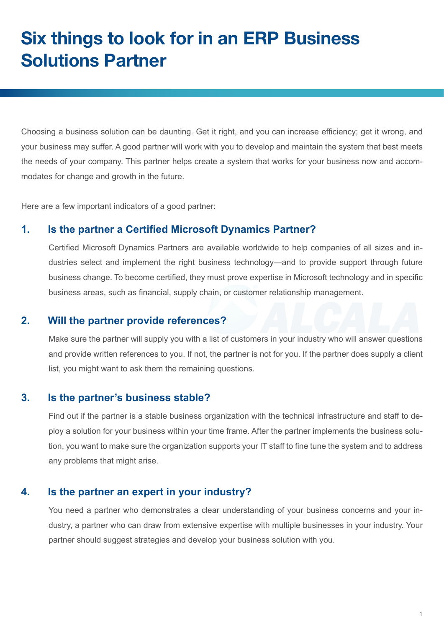# **Six things to look for in an ERP Business Solutions Partner**

Choosing a business solution can be daunting. Get it right, and you can increase efficiency; get it wrong, and your business may suffer. A good partner will work with you to develop and maintain the system that best meets the needs of your company. This partner helps create a system that works for your business now and accommodates for change and growth in the future.

Here are a few important indicators of a good partner:

#### **1. Is the partner a Certified Microsoft Dynamics Partner?**

Certified Microsoft Dynamics Partners are available worldwide to help companies of all sizes and industries select and implement the right business technology—and to provide support through future business change. To become certified, they must prove expertise in Microsoft technology and in specific business areas, such as financial, supply chain, or customer relationship management.

#### **2. Will the partner provide references?**

Make sure the partner will supply you with a list of customers in your industry who will answer questions and provide written references to you. If not, the partner is not for you. If the partner does supply a client list, you might want to ask them the remaining questions.

### **3. Is the partner's business stable?**

Find out if the partner is a stable business organization with the technical infrastructure and staff to deploy a solution for your business within your time frame. After the partner implements the business solution, you want to make sure the organization supports your IT staff to fine tune the system and to address any problems that might arise.

#### **4. Is the partner an expert in your industry?**

You need a partner who demonstrates a clear understanding of your business concerns and your industry, a partner who can draw from extensive expertise with multiple businesses in your industry. Your partner should suggest strategies and develop your business solution with you.